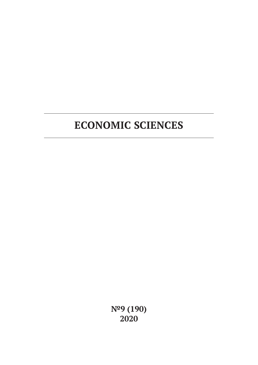**№9 (190) 2020**

# **ECONOMIC SCIENCES**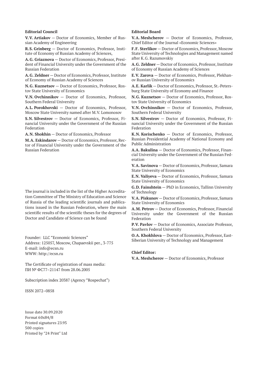#### **Editorial Council**

**V.V. Artiakov** — Doctor of Economics, Member of Russian Academy of Engineering

**R.S. Grinberg** — Doctor of Economics, Professor, Institute of Economy of Russian Academy of Sciences,

**A.G. Griaznova** — Doctor of Economics, Professor, President of Financial University under the Government of the Russian Federation

**A.G. Zeldner** — Doctor of Economics, Professor, Institute of Economy of Russian Academy of Sciences

**N.G. Kuznetsov** — Doctor of Economics, Professor, Rostov State University of Economics

**V.N. Ovchinnikov** — Doctor of Economics, Professor, Southern Federal University

**A.L. Porokhovski** — Doctor of Economics, Professor, Moscow State University named after M.V. Lomonosov

**S.N. Silvestrov** — Doctor of Economics, Professor, Financial University under the Government of the Russian Federation

**A.N. Shokhin** — Doctor of Economics, Professor

**M.A. Eskindarov** — Doctor of Economics, Professor, Rector of Financial University under the Government of the Russian Federation

The journal is included in the list of the Higher Accreditation Committee of The Ministry of Education and Science of Russia of the leading scientific journals and publications issued in the Russian Federation, where the main scientific results of the scientific theses for the degrees of Doctor and Candidate of Science can be found

Founder: LLC "Economic Sciences" Address: 125057, Moscow, Chapaevskii per., 3-775 E-mail: info@ecsn.ru WWW: http://ecsn.ru

The Certificate of registration of mass media: ПИ № ФС77–21147 from 28.06.2005

Subscription index 20387 (Agency "Rospechat")

ISSN 2072–0858

Issue date 30.09.2020 Format 60х84/8 Printed signatures 23.95 500 copies Printed by "24 Print" Ltd

#### **Editorial Board**

**V.A. Meshcherov** — Doctor of Economics, Professor, Chief Editor of the Journal «Economic Sciences»

**F.F. Sterlikov** — Doctor of Economics, Professor, Moscow State University of Technologies and Management named after K.G. Razumovskiy

**A.G. Zeldner** — Doctor of Economics, Professor, Institute of Economy of Russian Academy of Sciences

**E.V. Zarova** — Doctor of Economics, Professor, Plekhanov Russian University of Economics

**A.E. Karlik** — Doctor of Economics, Professor, St.-Petersburg State University of Economy and Finance

**N.G. Kuznetsov** — Doctor of Economics, Professor, Rostov State University of Economics

**V.N. Ovchinnikov** — Doctor of Economics, Professor, Southern Federal University

**S.N. Silvestrov** — Doctor of Economics, Professor, Financial University under the Government of the Russian Federation

**K.N. Korischenko** — Doctor of Economics, Professor, Russian Presidential Academy of National Economy and Public Administration

**A.A. Bakulina** — Doctor of Economics, Professor, Financial University under the Government of the Russian Federation

**V.A. Savinova** — Doctor of Economics, Professor, Samara State University of Economics

**E.N. Valiyeva** — Doctor of Economics, Professor, Samara State University of Economics

**G.D. Fainshtein** — PhD in Economics, Tallinn University of Technology

**V.A. Piskunov** — Doctor of Economics, Professor, Samara State University of Economics

**A.M. Petrov** — Doctor of Economics, Professor, Financial University under the Government of the Russian Federation

**P.V. Pavlov** — Doctor of Economics, Associate Professor, Southern Federal University

**O.A. Khokhlova** — Doctor of Economics, Professor, East-Siberian University of Technology and Management

#### **Chief Editor:**

**V.A. Meshcherov** — Doctor of Economics, Professor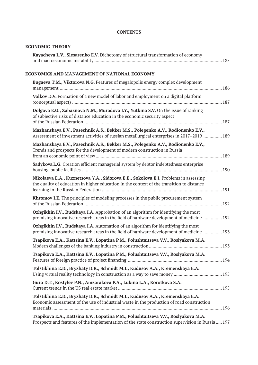# **CONTENTS**

# **ECONOMIC THEORY**

| Kayacheva L.V., Slesarenko E.V. Dichotomy of structural transformation of economy                                                                                                      |  |
|----------------------------------------------------------------------------------------------------------------------------------------------------------------------------------------|--|
| ECONOMICS AND MANAGEMENT OF NATIONAL ECONOMY                                                                                                                                           |  |
| <b>Bugaeva T.M., Viktorova N.G.</b> Features of megalopolis energy complex development                                                                                                 |  |
| Volkov D.V. Formation of a new model of labor and employment on a digital platform                                                                                                     |  |
| Dolgova E.G., Zabaznova N.M., Muradova I.Y., Yutkina S.V. On the issue of ranking<br>of subjective risks of distance education in the economic security aspect                         |  |
| Mazhanskaya E.V., Pasechnik A.S., Bekker M.S., Polegenko A.V., Rodionenko E.V.,<br>Assessment of investment activities of russian metallurgical enterprises in 2017–2019  189          |  |
| Mazhanskaya E.V., Pasechnik A.S., Bekker M.S., Polegenko A.V., Rodionenko E.V.,<br>Trends and prospects for the development of modern construction in Russia                           |  |
| Sadykova L.G. Creation efficient managerial system by debtor indebtedness enterprise                                                                                                   |  |
| Nikolaeva E.A., Kuznetsova Y.A., Sidorova E.E., Sokolova E.I. Problems in assessing<br>the quality of education in higher education in the context of the transition to distance       |  |
| Khromov I.E. The principles of modeling processes in the public procurement system                                                                                                     |  |
| Ozhgikhin I.V., Rudskaya I.A. Approbation of an algorithm for identifying the most<br>promising innovative research areas in the field of hardware development of medicine  192        |  |
| Ozhgikhin I.V., Rudskaya I.A. Automation of an algorithm for identifying the most<br>promising innovative research areas in the field of hardware development of medicine  193         |  |
| Tsapikova E.A., Kattsina E.V., Lopatina P.M., Polushtaitseva V.V., Roslyakova M.A.                                                                                                     |  |
| Tsapikova E.A., Kattsina E.V., Lopatina P.M., Polushtaitseva V.V., Roslyakova M.A.                                                                                                     |  |
| Tolstikhina E.D., Bryzhaty D.R., Schmidt M.I., Kudusov A.A., Kremenskaya E.A.                                                                                                          |  |
| Guro D.T., Kostylev P.N., Amzarakova P.A., Lukina L.A., Korotkova S.A.                                                                                                                 |  |
| Tolstikhina E.D., Bryzhaty D.R., Schmidt M.I., Kudusov A.A., Kremenskaya E.A.<br>Economic assessment of the use of industrial waste in the production of road construction             |  |
| Tsapikova E.A., Kattsina E.V., Lopatina P.M., Polushtaitseva V.V., Roslyakova M.A.<br>Prospects and features of the implementation of the state construction supervision in Russia 197 |  |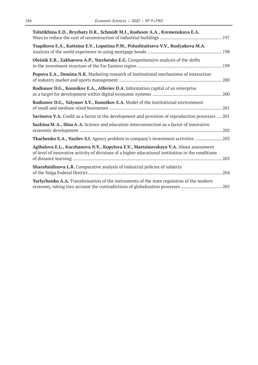| Tolstikhina E.D., Bryzhaty D.R., Schmidt M.I., Kudusov A.A., Kremenskaya E.A.                                                                                                              |
|--------------------------------------------------------------------------------------------------------------------------------------------------------------------------------------------|
| Tsapikova E.A., Kattsina E.V., Lopatina P.M., Polushtaitseva V.V., Roslyakova M.A.                                                                                                         |
| Oleinik E.B., Zakharova A.P., Yurchenko E.G. Comprehensive analysis of the shifts                                                                                                          |
| Popova E.A., Demina N.K. Marketing research of institutional mechanisms of interaction                                                                                                     |
| Rodionov D.G., Konnikov E.A., Alferiev D.A. Information capital of an enterprise                                                                                                           |
| Rodionov D.G., Yalymov S.V., Konnikov E.A. Model of the institutional environment                                                                                                          |
| Savinova V.A. Credit as a factor in the development and provision of reproduction processes  201                                                                                           |
| Sazhina M.A., Ilina A.A. Science and education interconnection as a factor of innovative                                                                                                   |
| Tkachenko E.A., Vasilev S.I. Agency problem in company's investment activities  203                                                                                                        |
| Agibalova E.L., Karzhanova N.V., Kopylova E.V., Martsinovskaya V.A. About assessment<br>of level of innovative activity of divisions of a higher educational institution in the conditions |
| <b>Sharafutdinova L.R.</b> Comparative analysis of industrial policies of subjects                                                                                                         |
| Yarlychenko A.A. Transformation of the instruments of the state regulation of the modern                                                                                                   |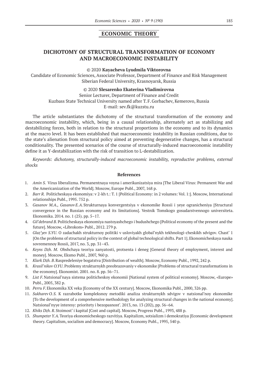# **ECONOMIC THEORY**

# **DICHOTOMY OF STRUCTURAL TRANSFORMATION OF ECONOMY AND MACROECONOMIC INSTABILITY**

#### © 2020 **Kayacheva Lyudmila Viktorovna**

Candidate of Economic Sciences, Associate Professor, Department of Finance and Risk Management Siberian Federal University, Krasnoyarsk, Russia

### © 2020 **Slesarenko Ekaterina Vladimirovna**

Senior Lecturer, Department of Finance and Credit Kuzbass State Technical University named after T.F.Gorbachev, Kemerovo, Russia E-mail: sev.fk@kuzstu.ru

The article substantiates the dichotomy of the structural transformation of the economy and macroeconomic instability, which, being in a causal relationship, alternately act as stabilizing and destabilizing forces, both in relation to the structural proportions in the economy and to its dynamics at the macro level. It has been established that macroeconomic instability in Russian conditions, due to the state's alienation from structural policy aimed at preventing degenerative changes, has a structural conditionality. The presented scenarios of the course of structurally-induced macroeconomic instability define it as Y-destabilization with the risk of transition to L-destabilization.

*Keywords: dichotomy, structurally-induced macroeconomic instability, reproductive problems, external shocks*

- 1. *Amin S.* Virus liberalizma. Permanentnaya voyna i amerikanizatsiya mira [The Liberal Virus: Permanent War and the Americanization of the World]. Moscow, Europe Publ., 2007, 168 p.
- 2. *Barr R.* Politicheskaya ekonomiya: v 2‑kh t.: T. 1 [Political Economy: in 2 volumes: Vol. 1:]. Moscow, International relationships Publ., 1995. 752 p.
- 3. *Gasanov M.A., Gasanov E.A.*Strukturnaya konvergentsiya v ekonomike Rossii i yeye ogranicheniya [Structural convergence in the Russian economy and its limitations]. Vestnik Tomskogo gosudarstvennogo universiteta. Ekonomika. 2014. no. 1 (25). pp. 5–17.
- 4. *Gil'debrand B.* Politicheskaya ekonomiya nastoyashchego i budushchego [Political economy of the present and the future]. Moscow, «Librokom» Publ., 2012. 279 p.
- 5. *Glaz'yev S.YU*. O zadachakh strukturnoy politiki v usloviyakh global'nykh tekhnologi-cheskikh sdvigov. Chast' 1 [On the problems of structural policy in the context of global technological shifts. Part 1]. Ekonomicheskaya nauka sovremennoy Rossii, 2017, no. 3, pp. 31–43.
- 6. *Keyns Dzh. M*. Obshchaya teoriya zanyatosti, protsenta i deneg [General theory of employment, interest and money]. Moscow, Eksmo Publ., 2007, 960 p.
- 7. *Klark Dzh. B*.Raspredeleniye bogatstva [Distribution of wealth]. Moscow, Economy Publ., 1992, 242 p.
- 8. *Krasil'nikov O.YU*. Problemy strukturnykh preobrazovaniy v ekonomike [Problems of structural transformations in the economy]. Ekonomist. 2001. no. 8. pp. 56–71.
- 9. *List F.*Natsional'naya sistema politicheskoy ekonomii [National system of political economy]. Moscow, «Europe» Publ., 2005, 382 p.
- 10. *Perru F.*Ekonomika XX veka [Economy of the XX century]. Moscow, Ekonomika Publ., 2000, 326 pp.
- 11. *Sukharev O.S.* K razrabotke kompleksnoy metodiki analiza strukturnykh sdvigov v natsional'noy ekonomike [To the development of a comprehensive methodology for analyzing structural changes in the national economy]. Natsional'nyye interesy: prioritety i bezopasnost'. 2013, no. 13 (202), pp. 56–64.
- 12. *Khiks Dzh. R*.Stoimost' i kapital [Cost and capital]. Moscow, Progress Publ., 1993, 488 p.
- 13. *Shumpeter Y.A.*Teoriya ekonomicheskogo razvitiya. Kapitalizm, sotsializm i demokratiya [Economic development theory. Capitalism, socialism and democracy]. Moscow, Economy Publ., 1995, 540 p.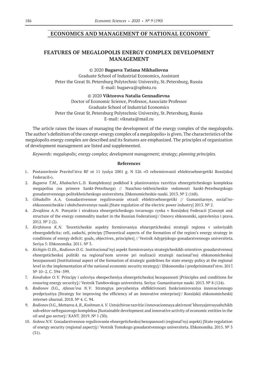# **ECONOMICS AND MANAGEMENT OF NATIONAL ECONOMY**

# **FEATURES OF MEGALOPOLIS ENERGY COMPLEX DEVELOPMENT MANAGEMENT**

© 2020 **Bugaeva Tatiana Mikhailovna**

Graduate School of Industrial Economics, Assistant Peter the Great St. Petersburg Polytechnic University, St. Petersburg, Russia E-mail: bugaeva@spbstu.ru

© 2020 **Viktorova Natalia Gennadievna** Doctor of Economic Science, Professor, Associate Professor Graduate School of Industrial Economics Peter the Great St. Petersburg Polytechnic University, St. Petersburg, Russia E-mail: viknata@mail.ru

The article raises the issues of managing the development of the energy complex of the megalopolis. The author's definition of the concept «energy complex of a megalopolis» is given. The characteristics of the megalopolis energy complex are described and its features are emphasized. The principles of organization of development management are listed and supplemented.

*Keywords: megalopolis; energy complex; development management; strategy; planning principles.*

- 1. Postanovlenie Pravitel'stva RF ot 11 iyulya 2001 g. N 526 «O reformirovanii ehlektroehnergetiki Rossijskoj FederaciI»).
- 2. *Bugaeva T.M., Khabachev L.D.* Kompleksnyj podkhod k planirovaniyu razvitiya ehnergeticheskogo kompleksa megapolisa (na primere Sankt-Peterburga) // Nauchno-tekhnicheskie vedomosti Sankt-Peterburgskogo gosudarstvennogo politekhnicheskogo universiteta. Ehkonomicheskie nauki. 2013. № 2 (168).
- 3. *Gibadullin A.A.* Gosudarstvennoe regulirovanie otrasli ehlektroehnergetiki // Gumanitarnye, social'noehkonomicheskie i obshchestvennye nauki.[State regulation of the electric power industry] 2013. № 2.
- 4. *Zevajkina A.N.* Ponyatie i struktura ehnergeticheskogo tovarnogo rynka v Rossijskoj Federacii [Concept and structure of the energy commodity market in the Russian Federation]// Osnovy ehkonomiki, upravleniya i prava. 2012. № 2 (2).
- 5. *Kirzhinova K.N.* Teoreticheskie aspekty formirovaniya ehnergeticheskoj strategii regiona v usloviyakh ehnergodeficita: celi, zadachi, principy [Theoretical aspects of the formation of the region's energy strategy in conditions of energy deficit: goals, objectives, principles] // Vestnik Adygejskogo gosudarstvennogo universiteta. Seriya 5: Ehkonomika. 2011. № 3.
- 6. *Kichigin O.Eh., Rodionov D.G.* Institucional'nyj aspekt formirovaniya strategicheskikh orientirov gosudarstvennoj ehnergeticheskoj politiki na regional'nom urovne pri realizacii strategii nacional'noj ehkonomicheskoj bezopasnosti [Institutional aspect of the formation of strategic guidelines for state energy policy at the regional level in the implementation of the national economic security strategy]// Ehkonomika i predprinimatel'stvo. 2017. № 10–2. C. 394–399.
- 7. *Kondrakov O.V.* Principy i usloviya obespecheniya ehnergeticheskoj bezopasnosti [Principles and conditions for ensuring energy security]// Vestnik Tambovskogo universiteta. Seriya: Gumanitarnye nauki. 2013. № 8 (124).
- 8. *Rodionov D.G., Afanas'eva N.V*. Strategiya povysheniya ehffektivnosti funkcionirovaniya innovacionnogo predpriyatiya [Strategy for improving the efficiency of an innovative enterprise]// Rossijskij ehkonomicheskij internet-zhurnal. 2018. № 4. C. 94.
- 9. *Rodionov D.G., MottaevaA.B., KoshmanA.V.* Ustojchivoe razvitie i innovacionnaya aktivnost' khozyajstvuyushchikh sub»ektov neftegazovogo kompleksa [Sustainable development and innovative activity of economic entities in the oil and gas sector]// KANT. 2019.  $N^{\circ}$  1 (30).
- 10. *Sedova N.V.* Gosudarstvennoe regulirovanie ehnergeticheskoj bezopasnosti (regional'nyj aspekt) [State regulation of energy security (regional aspect)]// Vestnik Tomskogo gosudarstvennogo universiteta. Ehkonomika. 2015. № 3 (31).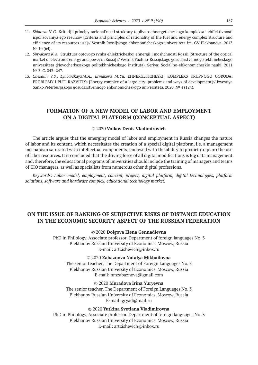- 11. *Sidorova N.G.* Kriterij i principy racional'nosti struktury toplivno-ehnergeticheskogo kompleksa i ehffektivnosti ispol'zovaniya ego resursov [Criteria and principles of rationality of the fuel and energy complex structure and efficiency of its resources use]// Vestnik Rossijskogo ehkonomicheskogo universiteta im. GV Plekhanova. 2013. N<sup>o</sup> 10 (64).
- 12. *Sinyakova K.A.* Struktura optovogo rynka ehlektricheskoj ehnergii i moshchnosti Rossii [Structure of the optical market of electronic energy and power in Russi] // Vestnik Yuzhno-Rossijskogo gosudarstvennogo tekhnicheskogo universiteta (Novocherkasskogo politekhnicheskogo instituta). Seriya: Social'no-ehkonomicheskie nauki. 2011. Nº 3.C. 242-247.
- 13. *Chekalin V.S., Lyubarskaya M.A., Ermakova M.Yu.* EHNERGETICHESKIJ KOMPLEKS KRUPNOGO GORODA: PROBLEMY I PUTI RAZVITIYa [Energy complex of a large city: problems and ways of development]// Izvestiya Sankt-Peterburgskogo gosudarstvennogo ehkonomicheskogo universiteta. 2020. № 4 (124).

### **FORMATION OF A NEW MODEL OF LABOR AND EMPLOYMENT ON A DIGITAL PLATFORM (CONCEPTUAL ASPECT)**

#### © 2020 **Volkov Denis Vladimirovich**

The article argues that the emerging model of labor and employment in Russia changes the nature of labor and its content, which necessitates the creation of a special digital platform, i.e. a management mechanism saturated with intellectual components, endowed with the ability to predict (to plan) the use of labor resources. It is concluded that the driving force of all digital modifications is Big data management, and, therefore, the educational programs of universities should include the training of managers and teams of CIO managers, as well as specialists from numerous other digital professions.

*Keywords: Labor model, employment, concept, project, digital platform, digital technologies, platform solutions, software and hardware complex, educational technology market.*

### **ON THE ISSUE OF RANKING OF SUBJECTIVE RISKS OF DISTANCE EDUCATION IN THE ECONOMIC SECURITY ASPECT OF THE RUSSIAN FEDERATION**

#### © 2020 **Dolgova Elena Gennadievna**

PhD in Philology, Associate professor, Department of foreign languages No. 3 Plekhanov Russian University of Economics, Moscow, Russia E-mail: artzishevich@inbox.ru

#### © 2020 **Zabaznova Natalya Mikhailovna**

The senior teacher, The Department of Foreign Languages No. 3 Plekhanov Russian University of Economics, Moscow, Russia E-mail: nmzabaznova@gmail.com

© 2020 **Muradova Irina Yuryevna**

The senior teacher, The Department of Foreign Languages No. 3 Plekhanov Russian University of Economics, Moscow, Russia E-mail: gryad@mail.ru

#### © 2020 **Yutkina Svetlana Vladimirovna**

PhD in Philology, Associate professor, Department of foreign languages No. 3 Plekhanov Russian University of Economics, Moscow, Russia E-mail: artzishevich@inbox.ru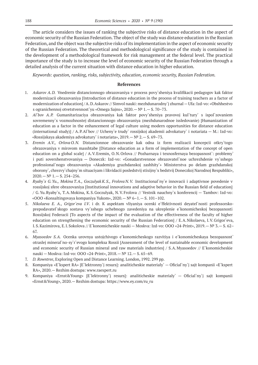The article considers the issues of ranking the subjective risks of distance education in the aspect of economic security of the Russian Federation. The object of the study was distance education in the Russian Federation, and the object was the subjective risks of its implementation in the aspect of economic security of the Russian Federation. The theoretical and methodological significance of the study is contained in the development of a methodological framework for risk management at the federal level. The practical importance of the study is to increase the level of economic security of the Russian Federation through a detailed analysis of the current situation with distance education in higher education.

*Keywords: question, ranking, risks, subjectivity, education, economic security, Russian Federation.*

- 1. *Askarov A.D.* Vnedrenie distancionnogo obrazovaniya v process povy`sheniya kvalifikacii pedagogov kak faktor modernizacii obrazovaniya [Introduction of distance education in the process of training teachers as a factor of modernization of education] / A.D.Askarov // Simvol nauki: mezhdunarodny`j zhurnal—Ufa: Izd-vo: «Obshhestvo s ogranichennoj otvetstvennost`yu «Omega Sajns», 2020.—№ 1.— S. 70–73.
- 2. *Al`bov A.P.* Gumanitarizaciya obrazovaniya kak faktor povy`sheniya pravovoj kul`tury` s ispol`zovaniem sovremenny`x vozmozhnostej distancionnogo obrazovaniya (mezhdunarodnoe issledovanie) [Humanization of education as a factor in the enhancement of legal culture using modern opportunities for distance education (international study)] / A.P.Al`bov // Ucheny`e trudy` rossijskoj akademii advokatury` i notariata — M.: Izd-vo: «Rossijskaya akademiya advokatury` i notariata», 2019.—№ 2.— S. 69–73.
- 3. *Eremin A.V., Orlova O.N.* Distancionnoe obrazovanie kak odna iz form realizacii koncepcii otkry`togo obrazovaniya v mirovom masshtabe [Distance education as a form of implementation of the concept of open education on a global scale] / A.V.Eremin, O.N.Orlova // Pozharnaya i texnosfernaya bezopasnost`: problemy` i puti sovershenstvovaniya — Doneczk: Izd-vo: «Gosudarstvennoe obrazovatel`noe uchrezhdenie vy`sshego professional`nogo obrazovaniya «Akademiya grazhdanskoj zashhity`» Ministerstva po delam grazhdanskoj oborony`, chrezvy`chajny`m situaciyam i likvidacii posledstvij stixijny`x bedstvij Doneczkoj Narodnoj Respubliki»,  $2020 - N^{\circ}$  1. - S. 254-256.
- 4. *Ryaby`x G.Yu., Mokina T.A., Goczulyak K.S., Frolova N.V.* Institucional`ny`e innovacii i adaptivnoe povedenie v rossijskoj sfere obrazovaniya [Institutional innovations and adaptive behavior in the Russian field of education] / G.Yu.Ryaby`x, T.A.Mokina, K.S.Goczulyak, N.V.Frolova // Vestnik nauchny`x konferencij — Tambov: Izd-vo: «OOO «Konsaltingovaya kompaniya Yukom», 2020.—№ 6–1.— S. 101–102.
- 5. *Nikolaeva E. A., Grigor`eva I.V*. i dr. K aspektam vliyaniya ocenki e`ffektivnosti deyatel`nosti professorskoprepodavatel`skogo sostava vy`sshego uchebnogo zavedeniya na ukreplenie e`konomicheskoj bezopasnosti Rossijskoj Federacii [To aspects of the impact of the evaluation of the effectiveness of the faculty of higher education on strengthening the economic security of the Russian Federation] / E.A.Nikolaeva, I.V.Grigor`eva, I.S.Kazimirova, E.I.Sokolova // E`konomicheskie nauki — Moskva: Izd-vo: OOO «24-Print», 2019.— № 3.— S. 62– 67.
- 6. *Myasoedov S.A.* Ocenka urovnya ustojchivogo e`konomicheskogo razvitiya i e`konomicheskaya bezopasnost` otraslej mineral`no-sy`r`evogo kompleksa Rossii [Assessment of the level of sustainable economic development and economic security of Russian mineral and raw materials industries] / S.A.Myasoedov // E`konomicheskie nauki — Moskva: Izd-vo: OOO «24-Print», 2018.—№ 12.— S. 65–69.
- 7. *D. Rowntree*, Exploring Open and Distance Learning. London, 1992. 299 pp.
- 8. Kompaniya «E`kspert RA» [E`lektronny`j resurs]: analiticheskie materialy` Oficial`ny`j sajt kompanii «E`kspert RA», 2020.— Rezhim dostupa: www.raexpert.ru
- 9. Kompaniya «Ernst&Young» [E`lektronny`j resurs]: analiticheskie materialy` Oficial`ny`j sajt kompanii «Ernst&Young», 2020.— Rezhim dostupa: https://www.ey.com/ru\_ru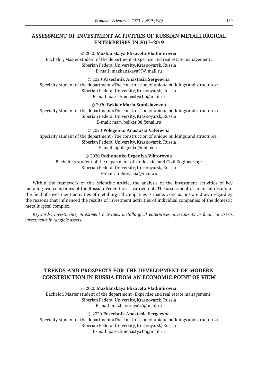# **ASSESSMENT OF INVESTMENT ACTIVITIES OF RUSSIAN METALLURGICAL ENTERPRISES IN 2017–2019**

#### © 2020 **Mazhanskaya Elizaveta Vladimirovna**

Bachelor, Master student of the department «Expertise and real estate management» Siberian Federal University, Krasnoyarsk, Russia E-mail: mazhanskaya97@mail.ru

#### © 2020 **Pasechnik Anastasia Sergeevna**

Specialty student of the department «The construction of unique buildings and structures» Siberian Federal University, Krasnoyarsk, Russia E-mail: pasechnicnastya14@mail.ru

### © 2020 **Bekker Maria Stanislavovna**

Specialty student of the department «The construction of unique buildings and structures» Siberian Federal University, Krasnoyarsk, Russia E-mail: mary.bekker.98@mail.ru

© 2020 **Polegenko Anastasia Valerevna**

Specialty student of the department «The construction of unique buildings and structures» Siberian Federal University, Krasnoyarsk, Russia E-mail: apolegenko@inbox.ru

#### © 2020 **Rodionenko Evgeniya Viktorovna**

Bachelor's student of the department of «Industrial and Civil Engineering» Siberian Federal University, Krasnoyarsk, Russia E-mail: rodionaaaa@mail.ru

Within the framework of this scientific article, the analysis of the investment activities of key metallurgical companies of the Russian Federation is carried out. The assessment of financial results in the field of investment activities of metallurgical companies is made. Conclusions are drawn regarding the reasons that influenced the results of investment activities of individual companies of the domestic metallurgical complex.

*Keywords: investments, investment activities, metallurgical enterprises, investments in financial assets, investments in tangible assets.*

# **TRENDS AND PROSPECTS FOR THE DEVELOPMENT OF MODERN CONSTRUCTION IN RUSSIA FROM AN ECONOMIC POINT OF VIEW**

#### © 2020 **Mazhanskaya Elizaveta Vladimirovna**

Bachelor, Master student of the department «Expertise and real estate management» Siberian Federal University, Krasnoyarsk, Russia E-mail: mazhanskaya97@mail.ru

### © 2020 **Pasechnik Anastasia Sergeevna**

Specialty student of the department «The construction of unique buildings and structures» Siberian Federal University, Krasnoyarsk, Russia E-mail: pasechnicnastya14@mail.ru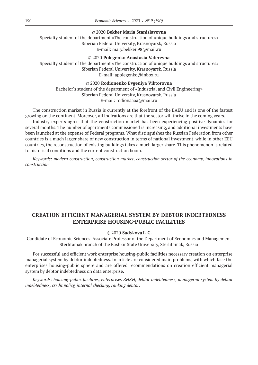© 2020 **Bekker Maria Stanislavovna**

Specialty student of the department «The construction of unique buildings and structures» Siberian Federal University, Krasnoyarsk, Russia E-mail: mary.bekker.98@mail.ru

© 2020 **Polegenko Anastasia Valerevna**

Specialty student of the department «The construction of unique buildings and structures» Siberian Federal University, Krasnoyarsk, Russia E-mail: apolegenko@inbox.ru

#### © 2020 **Rodionenko Evgeniya Viktorovna**

Bachelor's student of the department of «Industrial and Civil Engineering» Siberian Federal University, Krasnoyarsk, Russia E-mail: rodionaaaa@mail.ru

The construction market in Russia is currently at the forefront of the EAEU and is one of the fastest growing on the continent. Moreover, all indications are that the sector will thrive in the coming years.

Industry experts agree that the construction market has been experiencing positive dynamics for several months. The number of apartments commissioned is increasing, and additional investments have been launched at the expense of Federal programs. What distinguishes the Russian Federation from other countries is a much larger share of new construction in terms of national investment, while in other EEU countries, the reconstruction of existing buildings takes a much larger share. This phenomenon is related to historical conditions and the current construction boom.

*Keywords: modern construction, construction market, construction sector of the economy, innovations in construction.*

# **CREATION EFFICIENT MANAGERIAL SYSTEM BY DEBTOR INDEBTEDNESS ENTERPRISE HOUSING-PUBLIC FACILITIES**

© 2020 **Sadykova L.G.**

Candidate of Economic Sciences, Associate Professor of the Department of Economics and Management Sterlitamak branch of the Bashkir State University, Sterlitamak, Russia

For successful and efficient work enterprise housing-public facilities necessary creation on enterprise managerial system by debtor indebtedness. In article are considered main problems, with which face the enterprises housing-public sphere and are offered recommendations on creation efficient managerial system by debtor indebtedness on data enterprise.

*Keywords: housing-public facilities, enterprises ZHKH, debtor indebtedness, managerial system by debtor indebtedness, credit policy, internal checking, ranking debtor.*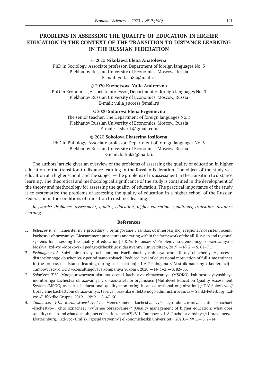# **PROBLEMS IN ASSESSING THE QUALITY OF EDUCATION IN HIGHER EDUCATION IN THE CONTEXT OF THE TRANSITION TO DISTANCE LEARNING IN THE RUSSIAN FEDERATION**

#### © 2020 **Nikolaeva Elena Anatolevna**

PhD in Sociology, Associate professor, Department of foreign languages No. 3 Plekhanov Russian University of Economics, Moscow, Russia E-mail: yoltash82@mail.ru

© 2020 **Kuznetsova Yulia Andreevna**

PhD in Economics, Associate professor, Department of foreign languages No. 3 Plekhanov Russian University of Economics, Moscow, Russia E-mail: yulia\_success@mail.ru

© 2020 **Sidorova Elena Evgenievna**

The senior teacher, The Department of foreign languages No. 3 Plekhanov Russian University of Economics, Moscow, Russia E-mail: iksharik@gmail.com

© 2020 **Sokolova Ekaterina Iosifovna**

PhD in Philology, Associate professor, Department of foreign languages No. 3 Plekhanov Russian University of Economics, Moscow, Russia E-mail: kafmkk@mail.ru

The authors' article gives an overview of the problems of assessing the quality of education in higher education in the transition to distance learning in the Russian Federation. The object of the study was education at a higher school, and the subject — the problems of its assessment in the transition to distance learning. The theoretical and methodological significance of the study is contained in the development of the theory and methodology for assessing the quality of education. The practical importance of the study is to systematize the problems of assessing the quality of education in a higher school of the Russian Federation in the conditions of transition to distance learning.

*Keywords: Problems, assessment, quality, education, higher education, conditions, transition, distance learning.*

- 1. *Belousov K.Yu.* Izmeritel`ny`e procedury` i rejtingovanie v ramkax obshherossijskoj i regional`noj sistem ocenki kachestva obrazovaniya [Measurement procedures and rating within the framework of the all-Russian and regional systems for assessing the quality of education] / K.Yu.Belousov // Problemy` sovremennogo obrazovaniya -Moskva: Izd-vo: «Moskovskij pedagogicheskij gosudarstvenny`j universitet», 2019.—№ 2.— S. 61–71.
- 2. *Pishhugina I.A.* Snizhenie urovnya uchebnoj motivacii obuchayushhixsya ochnoj formy` obucheniya v processe distancionnogo obucheniya v period samoizolyacii [Reduced level of educational motivation of full-time trainees in the process of distance learning during self-isolation] / I.A.Pishhugina // Vestnik nauchny`x konferencij — Tambov: Izd-vo OOO «Konsaltingovaya kompaniya Yukom», 2020.—№ 4–2.— S. 82–83.
- 3. *Solov`eva T.V*. Mnogourovnevaya sistema ocenki kachestva obrazovaniya (MSOKO) kak sostavlyayushhaya monitoringa kachestva obrazovaniya v obrazovatel`noj organizacii [Multilevel Education Quality Assessment System (MSOC) as part of educational quality monitoring in an educational organization] / T.V.Solov`eva // Upravlenie kachestvom obrazovaniya: teoriya i praktika e`ffektivnogo administrirovaniya — Sankt-Peterburg: Izdvo: «E`ffektiko Grupp», 2019.—№ 2.— S. 47–50.
- 4. *Tambovcev V.L., Rozhdestvenskaya I.A.* Menedzhment kachestva vy`sshego obrazovaniya: chto oznachaet «kachestvo» i chto oznachaet «vy`sshee obrazovanie»? [Quality management of higher education: what does «quality» mean and what does «higher education» mean?] / V.L.Tambovcev, I.A.Rozhdestvenskaya // Upravlenecz— Ekaterinburg.: Izd-vo: «Ural`skij gosudarstvenny`j e`konomicheskij universitet», 2020.—№ 1.— S. 2–14.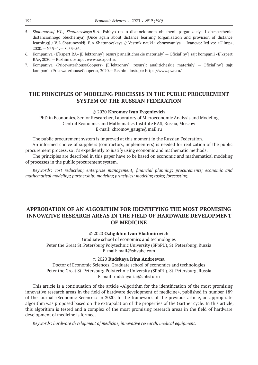- 5. *Shatunovskij V.L., Shatunovskaya E.A.* Eshhyo raz o distancionnom obuchenii (organizaciya i obespechenie distancionnogo obucheniya) [Once again about distance learning (organization and provision of distance learning)] / V.L.Shatunovskij, E.A.Shatunovskaya // Vestnik nauki i obrazovaniya — Ivanovo: Izd-vo: «Olimp»,  $2020 - N^2$  9-1. - S. 53-56.
- 6. Kompaniya «E`kspert RA» [E`lektronny`j resurs]: analiticheskie materialy` Oficial`ny`j sajt kompanii «E`kspert RA», 2020.— Rezhim dostupa: www.raexpert.ru
- 7. Kompaniya «PricewaterhouseCoopers» [E`lektronny`j resurs]: analiticheskie materialy` Oficial`ny`j sajt kompanii «PricewaterhouseCoopers», 2020.— Rezhim dostupa: https://www.pwc.ru/

# **THE PRINCIPLES OF MODELING PROCESSES IN THE PUBLIC PROCUREMENT SYSTEM OF THE RUSSIAN FEDERATION**

#### © 2020 **Khromov Ivan Evgenievich**

PhD in Economics, Senior Researcher, Laboratory of Microeconomic Analysis and Modeling Central Economics and Mathematics Institute RAS, Russia, Moscow E-mail: khromov\_gaugn@mail.ru

The public procurement system is improved at this moment in the Russian Federation.

An informed choice of suppliers (contractors, implementers) is needed for realization of the public procurement process, so it's expediently to justify using economic and mathematic methods.

The principles are described in this paper have to be based on economic and mathematical modeling of processes in the public procurement system.

*Keywords: cost reduction; enterprise management; financial planning; procurements; economic and mathematical modeling; partnership; modeling principles; modeling tasks; forecasting.*

# **APPROBATION OF AN ALGORITHM FOR IDENTIFYING THE MOST PROMISING INNOVATIVE RESEARCH AREAS IN THE FIELD OF HARDWARE DEVELOPMENT OF MEDICINE**

### © 2020 **Ozhgikhin Ivan Vladimirovich**

Graduate school of economics and technologies Peter the Great St. Petersburg Polytechnic University (SPbPU), St. Petersburg, Russia E-mail: mail@shvabe.com

#### © 2020 **Rudskaya Irina Andreevna**

Doctor of Economic Sciences, Graduate school of economics and technologies Peter the Great St. Petersburg Polytechnic University (SPbPU), St. Petersburg, Russia E-mail: rudskaya\_ia@spbstu.ru

This article is a continuation of the article «Algorithm for the identification of the most promising innovative research areas in the field of hardware development of medicine», published in number 189 of the journal «Economic Sciences» in 2020. In the framework of the previous article, an appropriate algorithm was proposed based on the extrapolation of the properties of the Gartner cycle. In this article, this algorithm is tested and a complex of the most promising research areas in the field of hardware development of medicine is formed.

*Keywords: hardware development of medicine, innovative research, medical equipment.*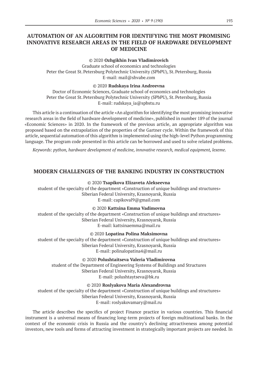# **AUTOMATION OF AN ALGORITHM FOR IDENTIFYING THE MOST PROMISING INNOVATIVE RESEARCH AREAS IN THE FIELD OF HARDWARE DEVELOPMENT OF MEDICINE**

#### © 2020 **Ozhgikhin Ivan Vladimirovich**

Graduate school of economics and technologies Peter the Great St. Petersburg Polytechnic University (SPbPU), St. Petersburg, Russia E-mail: mail@shvabe.com

#### © 2020 **Rudskaya Irina Andreevna**

Doctor of Economic Sciences, Graduate school of economics and technologies Peter the Great St. Petersburg Polytechnic University (SPbPU), St. Petersburg, Russia E-mail: rudskaya\_ia@spbstu.ru

This article is a continuation of the article «An algorithm for identifying the most promising innovative research areas in the field of hardware development of medicine», published in number 189 of the journal «Economic Sciences» in 2020. In the framework of the previous article, an appropriate algorithm was proposed based on the extrapolation of the properties of the Gartner cycle. Within the framework of this article, sequential automation of this algorithm is implemented using the high-level Python programming language. The program code presented in this article can be borrowed and used to solve related problems.

*Keywords: python, hardware development of medicine, innovative research, medical equipment, lexeme.*

### **MODERN CHALLENGES OF THE BANKING INDUSTRY IN CONSTRUCTION**

© 2020 **Tsapikova Elizaveta Alekseevna**

student of the specialty of the department «Construction of unique buildings and structures» Siberian Federal University, Krasnoyarsk, Russia E-mail: capikoval9@gmail.com

© 2020 **Kattsina Emma Vadimovna**

student of the specialty of the department «Construction of unique buildings and structures» Siberian Federal University, Krasnoyarsk, Russia E-mail: kattsinaemma@mail.ru

© 2020 **Lopatina Polina Maksimovna**

student of the specialty of the department «Construction of unique buildings and structures» Siberian Federal University, Krasnoyarsk, Russia E-mail: polinalopatina4@mail.ru

© 2020 **Polushtaitseva Valeria Vladimirovna**

student of the Department of Engineering Systems of Buildings and Structures Siberian Federal University, Krasnoyarsk, Russia E-mail: polushtaytseva@bk.ru

© 2020 **Roslyakova Maria Alexandrovna**

student of the specialty of the department «Construction of unique buildings and structures» Siberian Federal University, Krasnoyarsk, Russia E-mail: roslyakovamary@mail.ru

The article describes the specifics of project Finance practice in various countries. This financial instrument is a universal means of financing long-term projects of foreign multinational banks. In the context of the economic crisis in Russia and the country's declining attractiveness among potential investors, new tools and forms of attracting investment in strategically important projects are needed. In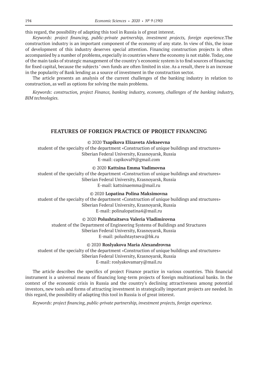this regard, the possibility of adapting this tool in Russia is of great interest.

*Keywords: project financing, public-private partnership, investment projects, foreign experience.*The construction industry is an important component of the economy of any state. In view of this, the issue of development of this industry deserves special attention. Financing construction projects is often accompanied by a number of problems, especially in countries where the economy is not stable. Today, one of the main tasks of strategic management of the country's economic system is to find sources of financing for fixed capital, because the subjects ' own funds are often limited in size. As a result, there is an increase in the popularity of Bank lending as a source of investment in the construction sector.

The article presents an analysis of the current challenges of the banking industry in relation to construction, as well as options for solving the main problems.

*Keywords: construction, project Finance, banking industry, economy, challenges of the banking industry, BIM technologies.*

### **FEATURES OF FOREIGN PRACTICE OF PROJECT FINANCING**

#### © 2020 **Tsapikova Elizaveta Alekseevna**

student of the specialty of the department «Construction of unique buildings and structures» Siberian Federal University, Krasnoyarsk, Russia E-mail: capikoval9@gmail.com

© 2020 **Kattsina Emma Vadimovna**

student of the specialty of the department «Construction of unique buildings and structures» Siberian Federal University, Krasnoyarsk, Russia E-mail: kattsinaemma@mail.ru

© 2020 **Lopatina Polina Maksimovna**

student of the specialty of the department «Construction of unique buildings and structures» Siberian Federal University, Krasnoyarsk, Russia E-mail: polinalopatina4@mail.ru

© 2020 **Polushtaitseva Valeria Vladimirovna**

student of the Department of Engineering Systems of Buildings and Structures Siberian Federal University, Krasnoyarsk, Russia E-mail: polushtaytseva@bk.ru

© 2020 **Roslyakova Maria Alexandrovna**

student of the specialty of the department «Construction of unique buildings and structures» Siberian Federal University, Krasnoyarsk, Russia E-mail: roslyakovamary@mail.ru

The article describes the specifics of project Finance practice in various countries. This financial instrument is a universal means of financing long-term projects of foreign multinational banks. In the context of the economic crisis in Russia and the country's declining attractiveness among potential investors, new tools and forms of attracting investment in strategically important projects are needed. In this regard, the possibility of adapting this tool in Russia is of great interest.

*Keywords: project financing, public-private partnership, investment projects, foreign experience.*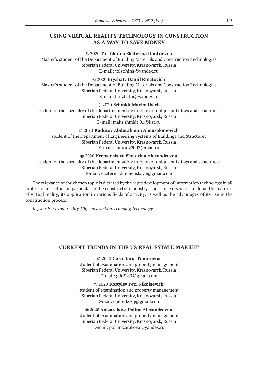# **USING VIRTUAL REALITY TECHNOLOGY IN CONSTRUCTION AS A WAY TO SAVE MONEY**

#### © 2020 **Tolstikhina Ekaterina Dmitrievna**

Master's student of the Department of Building Materials and Construction Technologies Siberian Federal University, Krasnoyarsk, Russia E-mail: tolstihina@yandex.ru

#### © 2020 **Bryzhaty Daniil Rinatovich**

Master's student of the Department of Building Materials and Construction Technologies Siberian Federal University, Krasnoyarsk, Russia E-mail: bruzhatui@yandex.ru

### © 2020 **Schmidt Maxim Ilyich**

student of the specialty of the department «Construction of unique buildings and structures» Siberian Federal University, Krasnoyarsk, Russia E-mail: maks.shmidt.01@list.ru

© 2020 **Kudusov Abdurahmon Abdusalomovich**

student of the Department of Engineering Systems of Buildings and Structures Siberian Federal University, Krasnoyarsk, Russia E-mail: qudusov2002@mail.ru

#### © 2020 **Kremenskaya Ekaterina Alexandrovna**

student of the specialty of the department «Construction of unique buildings and structures» Siberian Federal University, Krasnoyarsk, Russia E-mail: ekaterina.kremenskaya@gmail.com

The relevance of the chosen topic is dictated by the rapid development of information technology in all professional sectors, in particular in the construction industry. The article discusses in detail the features of virtual reality, its application in various fields of activity, as well as the advantages of its use in the construction process.

*Keywords: virtual reality, VR, construction, economy, technology.*

### **CURRENT TRENDS IN THE US REAL ESTATE MARKET**

© 2020 **Guro Daria Timurovna** student of examination and property management Siberian Federal University, Krasnoyarsk, Russia E-mail: gdt2180@gmail.com

© 2020 **Kostylev Petr Nikolaevich** student of examination and property management Siberian Federal University, Krasnoyarsk, Russia E-mail: qpeterkosq@gmail.com

© 2020 **Amzarakova Polina Alexandrovna** student of examination and property management Siberian Federal University, Krasnoyarsk, Russia E-mail: pol.amzarakova@yandex.ru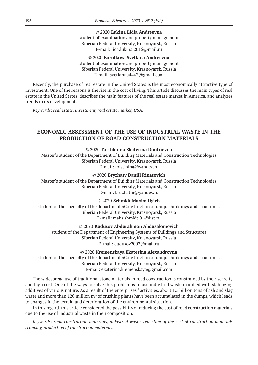© 2020 **Lukina Lidia Andreevna** student of examination and property management Siberian Federal University, Krasnoyarsk, Russia E-mail: lida.lukina.2015@mail.ru

© 2020 **Korotkova Svetlana Andreevna** student of examination and property management Siberian Federal University, Krasnoyarsk, Russia E-mail: svetlanna4443@gmail.com

Recently, the purchase of real estate in the United States is the most economically attractive type of investment. One of the reasons is the rise in the cost of living. This article discusses the main types of real estate in the United States, describes the main features of the real estate market in America, and analyzes trends in its development.

*Keywords: real estate, investment, real estate market, USA.*

# **ECONOMIC ASSESSMENT OF THE USE OF INDUSTRIAL WASTE IN THE PRODUCTION OF ROAD CONSTRUCTION MATERIALS**

### © 2020 **Tolstikhina Ekaterina Dmitrievna**

Master's student of the Department of Building Materials and Construction Technologies Siberian Federal University, Krasnoyarsk, Russia E-mail: tolstihina@yandex.ru

#### © 2020 **Bryzhaty Daniil Rinatovich**

Master's student of the Department of Building Materials and Construction Technologies Siberian Federal University, Krasnoyarsk, Russia E-mail: bruzhatui@yandex.ru

#### © 2020 **Schmidt Maxim Ilyich**

student of the specialty of the department «Construction of unique buildings and structures» Siberian Federal University, Krasnoyarsk, Russia E-mail: maks.shmidt.01@list.ru

### © 2020 **Kudusov Abdurahmon Abdusalomovich**

student of the Department of Engineering Systems of Buildings and Structures Siberian Federal University, Krasnoyarsk, Russia E-mail: qudusov2002@mail.ru

© 2020 **Kremenskaya Ekaterina Alexandrovna**

student of the specialty of the department «Construction of unique buildings and structures» Siberian Federal University, Krasnoyarsk, Russia E-mail: ekaterina.kremenskaya@gmail.com

The widespread use of traditional stone materials in road construction is constrained by their scarcity and high cost. One of the ways to solve this problem is to use industrial waste modified with stabilizing additives of various nature. As a result of the enterprises ' activities, about 1.5 billion tons of ash and slag waste and more than 120 million m<sup>3</sup> of crushing plants have been accumulated in the dumps, which leads to changes in the terrain and deterioration of the environmental situation.

In this regard, this article considered the possibility of reducing the cost of road construction materials due to the use of industrial waste in their composition.

*Keywords: road construction materials, industrial waste, reduction of the cost of construction materials, economy, production of construction materials.*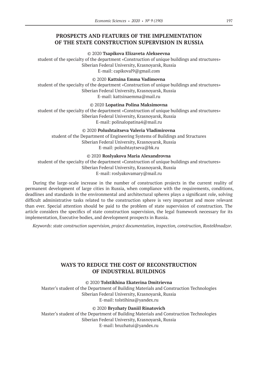# **PROSPECTS AND FEATURES OF THE IMPLEMENTATION OF THE STATE CONSTRUCTION SUPERVISION IN RUSSIA**

#### © 2020 **Tsapikova Elizaveta Alekseevna**

student of the specialty of the department «Construction of unique buildings and structures» Siberian Federal University, Krasnoyarsk, Russia E-mail: capikoval9@gmail.com

#### © 2020 **Kattsina Emma Vadimovna**

student of the specialty of the department «Construction of unique buildings and structures» Siberian Federal University, Krasnoyarsk, Russia E-mail: kattsinaemma@mail.ru

### © 2020 **Lopatina Polina Maksimovna**

student of the specialty of the department «Construction of unique buildings and structures» Siberian Federal University, Krasnoyarsk, Russia E-mail: polinalopatina4@mail.ru

#### © 2020 **Polushtaitseva Valeria Vladimirovna**

student of the Department of Engineering Systems of Buildings and Structures Siberian Federal University, Krasnoyarsk, Russia E-mail: polushtaytseva@bk.ru

### © 2020 **Roslyakova Maria Alexandrovna**

student of the specialty of the department «Construction of unique buildings and structures» Siberian Federal University, Krasnoyarsk, Russia E-mail: roslyakovamary@mail.ru

During the large-scale increase in the number of construction projects in the current reality of permanent development of large cities in Russia, when compliance with the requirements, conditions, deadlines and standards in the environmental and architectural spheres plays a significant role, solving difficult administrative tasks related to the construction sphere is very important and more relevant than ever. Special attention should be paid to the problem of state supervision of construction. The article considers the specifics of state construction supervision, the legal framework necessary for its implementation, Executive bodies, and development prospects in Russia.

*Keywords: state construction supervision, project documentation, inspection, construction, Rostekhnadzor.*

# **WAYS TO REDUCE THE COST OF RECONSTRUCTION OF INDUSTRIAL BUILDINGS**

© 2020 **Tolstikhina Ekaterina Dmitrievna**

Master's student of the Department of Building Materials and Construction Technologies Siberian Federal University, Krasnoyarsk, Russia E-mail: tolstihina@yandex.ru

#### © 2020 **Bryzhaty Daniil Rinatovich**

Master's student of the Department of Building Materials and Construction Technologies Siberian Federal University, Krasnoyarsk, Russia E-mail: bruzhatui@yandex.ru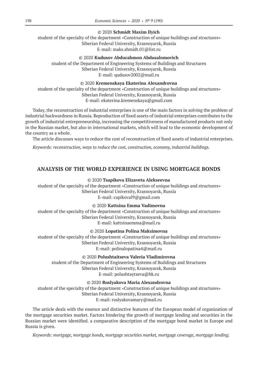### © 2020 **Schmidt Maxim Ilyich**

student of the specialty of the department «Construction of unique buildings and structures» Siberian Federal University, Krasnoyarsk, Russia E-mail: maks.shmidt.01@list.ru

### © 2020 **Kudusov Abdurahmon Abdusalomovich**

student of the Department of Engineering Systems of Buildings and Structures Siberian Federal University, Krasnoyarsk, Russia E-mail: qudusov2002@mail.ru

### © 2020 **Kremenskaya Ekaterina Alexandrovna**

student of the specialty of the department «Construction of unique buildings and structures» Siberian Federal University, Krasnoyarsk, Russia E-mail: ekaterina.kremenskaya@gmail.com

Today, the reconstruction of industrial enterprises is one of the main factors in solving the problem of industrial backwardness in Russia. Reproduction of fixed assets of industrial enterprises contributes to the growth of industrial entrepreneurship, increasing the competitiveness of manufactured products not only in the Russian market, but also in international markets, which will lead to the economic development of the country as a whole.

The article discusses ways to reduce the cost of reconstruction of fixed assets of industrial enterprises.

*Keywords: reconstruction, ways to reduce the cost, construction, economy, industrial buildings.*

### **ANALYSIS OF THE WORLD EXPERIENCE IN USING MORTGAGE BONDS**

#### © 2020 **Tsapikova Elizaveta Alekseevna**

student of the specialty of the department «Construction of unique buildings and structures» Siberian Federal University, Krasnoyarsk, Russia E-mail: capikoval9@gmail.com

#### © 2020 **Kattsina Emma Vadimovna**

student of the specialty of the department «Construction of unique buildings and structures» Siberian Federal University, Krasnoyarsk, Russia E-mail: kattsinaemma@mail.ru

### © 2020 **Lopatina Polina Maksimovna**

student of the specialty of the department «Construction of unique buildings and structures» Siberian Federal University, Krasnoyarsk, Russia E-mail: polinalopatina4@mail.ru

#### © 2020 **Polushtaitseva Valeria Vladimirovna**

student of the Department of Engineering Systems of Buildings and Structures Siberian Federal University, Krasnoyarsk, Russia E-mail: polushtaytseva@bk.ru

© 2020 **Roslyakova Maria Alexandrovna**

student of the specialty of the department «Construction of unique buildings and structures» Siberian Federal University, Krasnoyarsk, Russia E-mail: roslyakovamary@mail.ru

The article deals with the essence and distinctive features of the European model of organization of the mortgage securities market. Factors hindering the growth of mortgage lending and securities in the Russian market were identified. a comparative description of the mortgage bond market in Europe and Russia is given.

*Keywords: mortgage, mortgage bonds, mortgage securities market, mortgage coverage, mortgage lending.*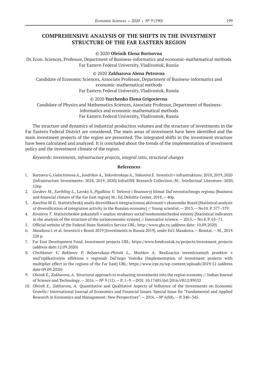# **COMPREHENSIVE ANALYSIS OF THE SHIFTS IN THE INVESTMENT STRUCTURE OF THE FAR EASTERN REGION**

#### © 2020 **Oleinik Elena Borisovna**

Dr.Econ. Sciences, Professor, Department of Business-informatics and economic-mathematical methods Far Eastern Federal University, Vladivostok, Russia

#### © 2020 **Zakharova Alena Petrovna**

Candidate of Economic Sciences, Associate Professor, Department of Business-informatics and economic-mathematical methods Far Eastern Federal University, Vladivostok, Russia

### © 2020 **Yurchenko Elena Grigorievna**

Candidate of Physics and Mathematics Sciences, Associate Professor, Department of Businessinformatics and economic-mathematical methods Far Eastern Federal University, Vladivostok, Russia

The structure and dynamics of industrial production volumes and the structure of investments in the Far Eastern Federal District are considered. The main areas of investment have been identified and the main investment projects of the region are presented. The integrated shifts in the investment structure have been calculated and analyzed. It is concluded about the trends of the implementation of investment policy and the investment climate of the region.

*Keywords: investments, infrastructure projects, integral ratio, structural changes*

- 1. Bartseva G, *Galactionova A., Jundrikov A., Yakovlevskaya A., Yakunina E.* Investicii v infrastrukturu: 2018, 2019, 2020 [Infrastructure Investments: 2018, 2019, 2020] InfraONE Research Collection.-M.: Intellectual Literature.-2020, 526p
- 2. *Gordeev M., Earthling L.,* Lavsky S, *Pigalkina V.* Delovoj i finansovyj klimat Dal'nevostochnogo regiona [Business and financial climate of the Far East region] M.: Ed.Deloitte Center, 2018.— 40p.
- 3. *Karelina M.G.* Statisticheskij analiz diversifikacii integracionnoj aktivnosti v ekonomike Rossii [Statistical analysis of diversification of integration activity in the Russian economy] // Young scientist.— 2013.— No10. P. 377–379
- 4. *Kovaleva T.* Statisticheskie pokazateli v analize struktury social'noekonomicheskoj sistemy [Statistical indicators in the analysis of the structure of the socioeconomic system] // Innovative science.— 2015.— No 4. P. 63–71.
- 5. Official website of the Federal State Statistics Service URL: http://www.gks.ru (address date: 10.09.2020)
- 6. *Masakova I.* et al. Investicii v Rossii 2019 [Investments in Russia 2019]. *under Ed I.*Masakova.— Rosstat.— M., 2019. 228 p.
- 7. Far East Development Fund. Investment projects URL: https://www.fondvostok.ru/projects/investment\_projects (address date:12.09.2020)
- 8. *Chichkanov V, Baklanov P, Belyaevskaya-Plotnik L., Moshkov A.* Realizaciya investicionnyh proektov s mul'tiplikativnym effektom v regionah Dal'nego Vostoka [Implementation of investment projects with multiplier effect in the regions of the Far East] URL: https://www.irpr.ru/wp-content/uploads/2019/12 (address date:09.09.2020)
- 9. *Oleinik E., Zakharova, A*. Structural approach to evaluating investments into the region economy // Indian Journal of Science and Technology.— 2016.—№ 9 (12).— P. 1–9.—DOI: 10.17485/ijst/2016/v9i12/89532
- 10. *Oleinik E., Zakharova, A.* Quantitative and Qualitative Aspects of Influence of the Investments on Economic Growth// International Journal of Economics and Financial Issues. Special Issue for "Fundamental and Applied Research in Economics and Management: New Perspectives". — 2016. — № 6(S8). — Р. 340-345.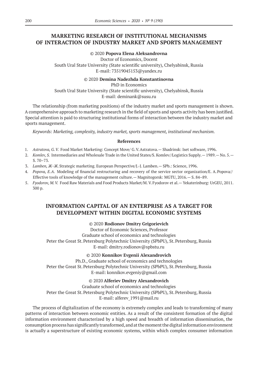# **MARKETING RESEARCH OF INSTITUTIONAL MECHANISMS OF INTERACTION OF INDUSTRY MARKET AND SPORTS MANAGEMENT**

### © 2020 **Popova Elena Aleksandrovna**

Doctor of Economics, Docent South Ural State University (State scientific university), Chelyabinsk, Russia E-mail: 73519045153@yandex.ru

#### © 2020 **Demina Nadezhda Konstantinovna**

PhD in Economics South Ural State University (State scientific university), Chelyabinsk, Russia E-mail: deminank@susu.ru

The relationship (from marketing positions) of the industry market and sports management is shown. A comprehensive approach to marketing research in the field of sports and sports activity has been justified. Special attention is paid to structuring institutional forms of interaction between the industry market and sports management.

*Keywords: Marketing, complexity, industry market, sports management, institutional mechanism.*

#### **References**

- 1. *Astratova, G.V.* Food Market Marketing: Concept Move/ G.V.Astratova.— Shadrinsk: Iset software, 1996.
- 2. *Komlev, S.* Intermediaries and Wholesale Trade in the United States/S. Komlev//Logistics Supply.— 1989.— No. 5.— S. 70–73.
- 3. *Lamben, Ж-Ж*.Strategic marketing. European Perspective/J.-J. Lamben.— SPb.: Science, 1996.
- 4. *Popova, E.A*. Modeling of financial restructuring and recovery of the service sector organization/E. A.Popova// Effective tools of knowledge of the management culture.— Magnitogorsk: MGTU, 2016.— S. 84–89.
- 5. *Fyodorov, M.V.* Food Raw Materials and Food Products Market/M. V.Fyodorov et al.— Yekaterinburg: UrGEU, 2011. 300 p.

# **INFORMATION CAPITAL OF AN ENTERPRISE AS A TARGET FOR DEVELOPMENT WITHIN DIGITAL ECONOMIC SYSTEMS**

### © 2020 **Rodionov Dmitry Grigorievich**

Doctor of Economic Sciences, Professor Graduate school of economics and technologies Peter the Great St. Petersburg Polytechnic University (SPbPU), St. Petersburg, Russia E-mail: dmitry.rodionov@spbstu.ru

© 2020 **Konnikov Evgenii Alexandrovich**

Ph.D., Graduate school of economics and technologies Peter the Great St. Petersburg Polytechnic University (SPbPU), St. Petersburg, Russia E-mail: konnikov.evgeniy@gmail.com

© 2020 **Alferiev Dmitry Alexandrovich**

Graduate school of economics and technologies Peter the Great St. Petersburg Polytechnic University (SPbPU), St. Petersburg, Russia

E-mail: alferev\_1991@mail.ru

The process of digitalization of the economy is extremely complex and leads to transforming of many patterns of interaction between economic entities. As a result of the consistent formation of the digital information environment characterized by a high speed and breadth of information dissemination, the consumption process has significantly transformed, and at the moment the digital information environment is actually a superstructure of existing economic systems, within which complex consumer information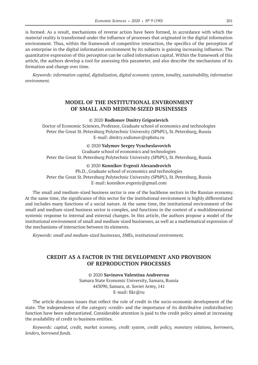is formed. As a result, mechanisms of reverse action have been formed, in accordance with which the material reality is transformed under the influence of processes that originated in the digital information environment. Thus, within the framework of competitive interaction, the specifics of the perception of an enterprise in the digital information environment by its subjects is gaining increasing influence. The quantitative expression of this perception can be called information capital. Within the framework of this article, the authors develop a tool for assessing this parameter, and also describe the mechanisms of its formation and change over time.

*Keywords: information capital, digitalization, digital economic system, tonality, sustainability, information environment.*

### **MODEL OF THE INSTITUTIONAL ENVIRONMENT OF SMALL AND MEDIUM-SIZED BUSINESSES**

© 2020 **Rodionov Dmitry Grigorievich**

Doctor of Economic Sciences, Professor, Graduate school of economics and technologies Peter the Great St. Petersburg Polytechnic University (SPbPU), St. Petersburg, Russia E-mail: dmitry.rodionov@spbstu.ru

#### © 2020 **Yalymov Sergey Vyacheslavovich**

Graduate school of economics and technologies Peter the Great St. Petersburg Polytechnic University (SPbPU), St. Petersburg, Russia

#### © 2020 **Konnikov Evgenii Alexandrovich**

Ph.D., Graduate school of economics and technologies Peter the Great St. Petersburg Polytechnic University (SPbPU), St. Petersburg, Russia E-mail: konnikov.evgeniy@gmail.com

The small and medium-sized business sector is one of the backbone sectors in the Russian economy. At the same time, the significance of this sector for the institutional environment is highly differentiated and includes many functions of a social nature. At the same time, the institutional environment of the small and medium-sized business sector is complex, and functions in the context of a multidimensional systemic response to internal and external changes. In this article, the authors propose a model of the institutional environment of small and medium-sized businesses, as well as a mathematical expression of the mechanisms of interaction between its elements.

*Keywords: small and medium-sized businesses, SMEs, institutional environment.*

### **CREDIT AS A FACTOR IN THE DEVELOPMENT AND PROVISION OF REPRODUCTION PROCESSES**

© 2020 **Savinova Valentina Andreevna** Samara State Economic University, Samara, Russia 443090, Samara, st. Soviet Army, 141 E-mail: fikr@ru

The article discusses issues that reflect the role of credit in the socio-economic development of the state. The independence of the category «credit» and the importance of its distributive (redistributive) function have been substantiated. Considerable attention is paid to the credit policy aimed at increasing the availability of credit to business entities.

*Keywords: capital, credit, market economy, credit system, credit policy, monetary relations, borrowers, lenders, borrowed funds.*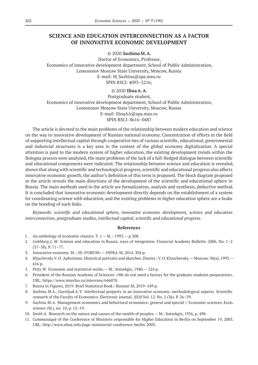### **SCIENCE AND EDUCATION INTERCONNECTION AS A FACTOR OF INNOVATIVE ECONOMIC DEVELOPMENT**

© 2020 **Sazhina M.A.**

Doctor of Economics, Professor, Economics of innovative development department, School of Public Administration, Lomonosov Moscow State University, Moscow, Russia E-mail: M\_Sazhina@spa.msu.ru SPIN RSCI: 4093–5216;

### © 2020 **Ilina A.A.**

Postgraduate student, Economics of innovative development department, School of Public Administration, Lomonosov Moscow State University, Moscow, Russia E-mail: IlinaAA@spa.msu.ru SPIN RSCI: 8616–0487

The article is devoted to the main problems of the relationship between modern education and science on the way to innovative development of Russian national economy. Concentration of efforts in the field of supporting intellectual capital through cooperative ties of various scientific, educational, governmental and industrial structures is a key area in the context of the global economy digitalization. A special attention is paid to the modern system of higher education, the existing development trends within the Bologna process were analyzed, the main problems of the lack of a full-fledged dialogue between scientific and educational components were indicated. The relationship between science and education is revealed, shown that along with scientific and technological progress, scientific and educational progress also affects innovative economic growth, the author's definition of this term is proposed. The block diagram proposed in the article reveals the main directions of the development of the scientific and educational sphere in Russia. The main methods used in the article are formalization, analysis and synthesis, deductive method. It is concluded that innovative economic development directly depends on the establishment of a system for coordinating science with education, and the existing problems in higher education sphere are a brake on the bonding of such links.

*Keywords: scientific and educational sphere, innovative economic development, science and education interconnection, postgraduate studies, intellectual capital, scientific and educational progress.*

- 1. An anthology of economic classics. T.  $1 M$  .: 1993. p.308.
- 2. *Gokhberg L.M.* Science and education in Russia: ways of integration. Financial Academy Bulletin. 2006. No. 1–2 (37–38). P. 71–77.
- 3. Innovative economy. M .: ID «FORUM» INFRA-M, 2014. 304 p.
- 4. *Klyuchevsky V.O.* Aphorisms. Historical portraits and sketches. Diaries / V.O.Klyuchevsky.— Moscow: Mysl, 1993.— 416 p.
- 5. *Petty W.* Economic and statistical works.— M.: Sotsekgiz, 1940.— 324 p.
- 6. President of the Russian Academy of Sciences: «We do not need a factory for the graduate students preparation». URL: https://www.interfax.ru/interview/646078.
- 7. Russia in Figures, 2019: Brief Statistical Book / Rosstat-M, 2019–549 p.
- 8. *Sazhina M.A., GavrilyukA.V.* Intellectual property in an innovative economy: methodological aspects. Scientific research of the Faculty of Economics. Electronic journal. 2020.Vol. 12. No. 2 (36). P. 26–39.
- 9. *Sazhina M.A.* Management economics and behavioral economics: general and special // Economic sciences, Econ. science (M.), no. 10, p. 12–19.
- 10. *Smith A.* Research on the nature and causes of the wealth of peoples.— M.: Sotsekgiz, 1956, p. 490.
- 11. Communiqué of the Conference of Ministers responsible for Higher Education in Berlin on September 19, 2003. URL: http://www.ehea.info/page-ministerial-conference-berlin-2003.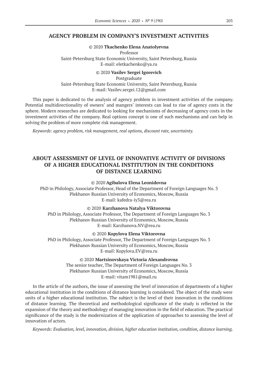### **AGENCY PROBLEM IN COMPANY'S INVESTMENT ACTIVITIES**

© 2020 **Tkachenko Elena Anatolyevna** Professor Saint-Petersburg State Economic University, Saint Petersburg, Russia E-mail: eletkachenko@ya.ru

© 2020 **Vasilev Sergei Igorevich** Postgraduate Saint-Petersburg State Economic University, Saint Petersburg, Russia E-mail: Vasilev.sergei.12@gmail.com

This paper is dedicated to the analysis of agency problem in investment activities of the company. Potential multidirectionality of owners' and mangers' interests can lead to rise of agency costs in the sphere. Modern researches are dedicated to looking for mechanisms of decreasing of agency costs in the investment activities of the company. Real options concept is one of such mechanisms and can help in solving the problem of more complete risk management.

*Keywords: agency problem, risk management, real options, discount rate, uncertainty.*

# **ABOUT ASSESSMENT OF LEVEL OF INNOVATIVE ACTIVITY OF DIVISIONS OF A HIGHER EDUCATIONAL INSTITUTION IN THE CONDITIONS OF DISTANCE LEARNING**

© 2020 **Agibalova Elena Leonidovna**

PhD in Philology, Associate Professor, Head of the Department of Foreign Languages No. 3 Plekhanov Russian University of Economics, Moscow, Russia E-mail: kafedra-iy3@rea.ru

© 2020 **Karzhanova Natalya Viktorovna**

PhD in Philology, Associate Professor, The Department of Foreign Languages No. 3 Plekhanov Russian University of Economics, Moscow, Russia E-mail: Karzhanova.NV@rea.ru

© 2020 **Kopylova Elena Viktorovna**

PhD in Philology, Associate Professor, The Department of Foreign Languages No. 3 Plekhanov Russian University of Economics, Moscow, Russia E-mail: Kopylova.EV@rea.ru

> © 2020 **Martsinovskaya Victoria Alexandrovna** The senior teacher, The Department of Foreign Languages No. 3 Plekhanov Russian University of Economics, Moscow, Russia E-mail: vitam1981@mail.ru

In the article of the authors, the issue of assessing the level of innovation of departments of a higher educational institution in the conditions of distance learning is considered. The object of the study were units of a higher educational institution. The subject is the level of their innovation in the conditions of distance learning. The theoretical and methodological significance of the study is reflected in the expansion of the theory and methodology of managing innovation in the field of education. The practical significance of the study is the modernization of the application of approaches to assessing the level of innovation of actors.

*Keywords: Evaluation, level, innovation, division, higher education institution, condition, distance learning.*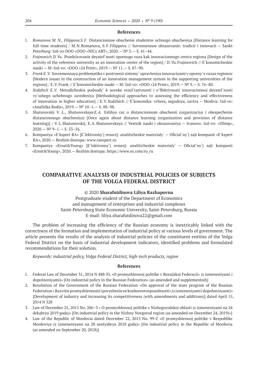#### **References**

- 1. *Romanova M. N., Filippova S.F.* Distancionnoe obuchenie studentov ochnogo obucheniya [Distance learning for full-time students] / M.N.Romanova, S.F.Filippova // Sovremennoe obrazovanie: tradicii i innovacii — Sankt-Peterburg: Izd-vo OOO «OOO «NICz ART», 2020.—№ 3.— S. 41–44.
- 2. *Frajmovich D.Yu.* Proektirovanie deyatel`nosti opornogo vuza kak innovacionnogo centra regiona [Design of the activity of the reference university as an innovation center of the region] / D.Yu.Frajmovich // E`konomicheskie nauki — M: Izd-vo: «OOO «24 Print», 2019.—№ 11.— S. 87–90.
- 3. *Frank E.V.* Sovremennaya problematika v postroenii sistemy` upravleniya innovaciyami v oporny`x vuzax regionov [Modern issues in the construction of an innovation management system in the supporting universities of the regions] / E.V.Frank // E`konomicheskie nauki — M: Izd-vo: «OOO «24 Print», 2019.—№ 3.— S. 76–80.
- 4. *Xodzhich E.V.* Metodicheskie podxody` k ocenke rezul`tativnosti i e`ffektivnosti innovacionnoj deyatel`nosti vy`sshego uchebnogo zavedeniya [Methodological approaches to assessing the efficiency and effectiveness of innovation in higher education] / E.V.Xodzhich // E`konomika: vchera, segodnya, zavtra — Moskva: Izd-vo: «Analitika Rodis», 2019.—№ 10–1.— S. 88–98.
- 5. *Shatunovskij V. L., Shatunovskaya E.A.* Eshhyo raz o distancionnom obuchenii (organizaciya i obespechenie distancionnogo obucheniya) [Once again about distance learning (organization and provision of distance learning)] / V.L.Shatunovskij, E.A.Shatunovskaya // Vestnik nauki i obrazovaniya — Ivanovo: Izd-vo: «Olimp», 2020.—№ 9–1.— S. 53–56.
- 6. Kompaniya «E`kspert RA» [E`lektronny`j resurs]: analiticheskie materialy` Oficial`ny`j sajt kompanii «E`kspert RA», 2020.— Rezhim dostupa: www.raexpert.ru
- 7. Kompaniya «Ernst&Young» [E`lektronny`j resurs]: analiticheskie materialy` Oficial`ny`j sajt kompanii «Ernst&Young», 2020.— Rezhim dostupa: https://www.ey.com/ru\_ru

# **COMPARATIVE ANALYSIS OF INDUSTRIAL POLICIES OF SUBJECTS OF THE VOLGA FEDERAL DISTRICT**

#### © 2020 **Sharafutdinova Liliya Razhapovna**

Postgraduate student of the Department of Economics and management of enterprises and industrial complexes Saint-Petersburg State Economic University, Saint-Petersburg, Russia E-mail: liliya.sharafutdinova22@gmail.com

The problem of increasing the efficiency of the Russian economy is inextricably linked with the correctness of the formation and implementation of industrial policy at various levels of government. The article presents the results of the analysis of industrial policies of the constituent entities of the Volga Federal District on the basis of industrial development indicators, identified problems and formulated recommendations for their solution.

*Keywords: industrial policy, Volga Federal District, high-tech products, region*

- 1. Federal Law of December 31, 2014 N 488-FL «O promyshlennoj politike v Rossijskoj Federacii» (s izmeneniyami i dopolneniyami)» [On industrial policy in the Russian Federation» (as amended and supplemented)]
- 2. Resolution of the Government of the Russian Federation «On approval of the state program of the Russian Federation « Razvitie promyshlennosti i povyshenie ee konkurentosposobnosti» (s izmeneniyami i dopolneniyami)» [Development of industry and increasing its competitiveness (with amendments and additions)] dated April 15, 2014 N 328
- 3. Law of December 25, 2015 No. 206–3 « O promyshlennoj politike v Nizhegorodskoj oblasti (s izmeneniyami na 24 dekabrya 2019 goda)» [On industrial policy in the Nizhny Novgorod region (as amended on December 24, 2019)»]
- 4. Law of the Republic of Mordovia dated December 22, 2015 No. 99-Z «O promyshlennoj politike v Respublike Mordoviya (s izmeneniyami na 20 sentyabrya 2018 goda)» [On industrial policy in the Republic of Mordovia (as amended on September 20, 2018)]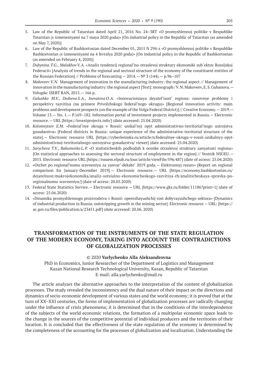- 5. Law of the Republic of Tatarstan dated April 21, 2016 No. 24–3RT «O promyshlennoj politike v Respublike Tatarstan (s izmeneniyami na 7 maya 2020 goda)» [On industrial policy in the Republic of Tatarstan (as amended on May 7, 2020)]
- 6. Law of the Republic of Bashkortostan dated December 01, 2015 N 294‑z «O promyshlennoj politike v Respublike Bashkortostan (s izmeneniyami na 4 fevralya 2020 goda)» [On industrial policy in the Republic of Bashkortostan (as amended on February 4, 2020)]
- 7. *Dubynina T.G., MalakhovV.A.* «Analiz tendencij regional'no-otraslevoj struktury ekonomiki sub`ektov Rossijskoj Federacii» [Analysis of trends in the regional and sectoral structure of the economy of the constituent entities of the Russian Federation] // Problems of forecasting  $-2014$ .  $- N<sup>°</sup> 3(144)$ .  $- p.96-107$
- 8. *Makoveev V.N.* Management of innovation in the manufacturing industry: the regional aspect // Management of innovation in the manufacturing industry: the regional aspect [Text]: monograph/V.N.Makoveev, E.S. Gubanova. — Vologda: ISERT RAN, 2015.— 166 p.
- 9. *Galushko M.V., Dedeeva S.A., Inevatova O.A.* «Innovacionnaya deyatel'nost' regiona: osnovnye problemy i perspektivy razvitiya (na primere Privolzhskogo federal'nogo okruga)» [Regional innovation activity: main problems and development prospects (on the example of the Volga Federal District)] // Creative Economy.—2019.— Volume 13.— No. 1.— P.169–182. Information portal of investment projects implemented in Russia.— Electronic resource.— URL [https://investprojects.info/] (date accessed: 25.04.2020)
- 10. *Kolomeytsev E.M.* «Federal'nye okruga v Rossii: unikal'nyj opyt administrativno-territorial'nogo ustrojstva gosudarstva» [Federal districts in Russia: unique experience of the administrative-territorial structure of the state].— Electronic resource URL [https://cyberleninka.ru/article/n/federalnye-okruga-v-rossii-unikalnyy-opytadministrativnoj-territorialnogo-ustroystva-gosudarstva/ viewer] (date accessed: 25.04.2020)
- 11. *Sarycheva T.V., Bakumenko L.P.* «O statisticheskih podhodah k ocenke otraslevoj struktury zanyatosti regiona» [On statistical approaches to assessing the sectoral structure of employment in the region] // Vestnik NSUEU.— 2015. Electronic resource URL [https://nsuem.elpub.ru/jour/article/viewFile/596/487] (date of access: 25.04.2020)
- 12. «Otchet po regional'nomu sravneniyu za yanvar'-dekabr' 2019 goda.— Elektronnyj resurs» [Report on regional comparison for January-December 2019].— Electronic resource.— URL [https://economy.bashkortostan.ru/ dejatelnost/makrojekonomika/analiz-sotsialno-ekonomicheskogo-razvitiya-rb/analiticheskaya-spravka-poregionalnomu-sravneniyu/] (date of access: 20.05.2020)
- 13. Federal State Statistics Service.— Electronic resource URL [https://www.gks.ru/folder/11186?print=1] (date of access: 25.04.2020)
- 14. «Dinamika promyshlennogo proizvodstva v Rossii: operezhayushchij rost dobyvayushchego sektora» [Dynamics of industrial production in Russia: outstripping growth in the mining sector]. Electronic resource — URL: [https:// ac.gov.ru/files/publication/a/23451.pdf] (date accessed: 20.06. 2020)

# **TRANSFORMATION OF THE INSTRUMENTS OF THE STATE REGULATION OF THE MODERN ECONOMY, TAKING INTO ACCOUNT THE CONTRADICTIONS OF GLOBALIZATION PROCESSES**

### © 2020 **Yarlychenko Alla Aleksandrovna**

PhD in Economics, Junior Researcher of the Department of Logistics and Management Kazan National Research Technological University, Kazan, Republic of Tatarstan E-mail: alla.yarlychenko@mail.ru

The article analyzes the alternative approaches to the interpretation of the content of globalization processes. The study revealed the inconsistency and the dual nature of their impact on the directions and dynamics of socio-economic development of various states and the world economy; it is proved that at the turn of XX–XXI centuries, the forms of implementation of globalization processes are radically changing under the influence of crisis phenomena; it is determined that in the conditions of the interdependence of the subjects of the world economic relations, the formation of a multipolar economic space leads to the change in the sources of the competitive potential of individual producers and the territories of their location. It is concluded that the effectiveness of the state regulation of the economy is determined by the completeness of the accounting for the processes of globalization and localization. Understanding the